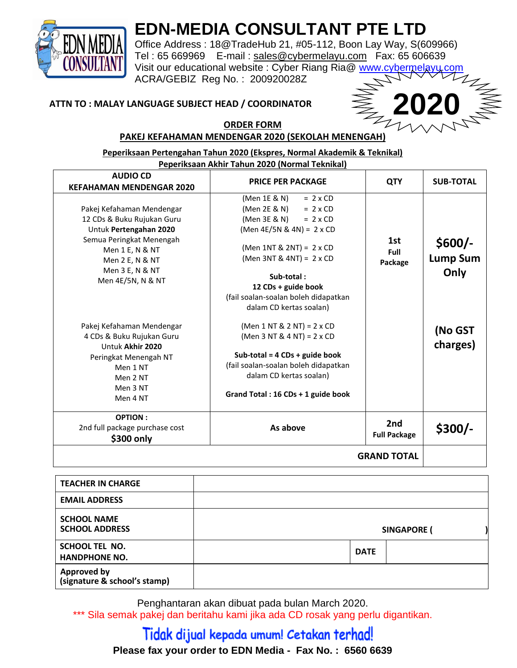

## **EDN-MEDIA CONSULTANT PTE LTD**

Office Address : 18@TradeHub 21, #05-112, Boon Lay Way, S(609966) Tel : 65 669969 E-mail : [sales@cybermelayu.com](mailto:sales@cybermelayu.com) Fax: 65 606639 Visit our educational website : Cyber Riang Ria@ [www.cybermelayu.com](http://www.cybermelayu.com/) ACRA/GEBIZ Reg No. : 200920028Z

#### **ATTN TO : MALAY LANGUAGE SUBJECT HEAD / COORDINATOR**



#### **ORDER FORM PAKEJ KEFAHAMAN MENDENGAR 2020 (SEKOLAH MENENGAH)**

**Peperiksaan Pertengahan Tahun 2020 (Ekspres, Normal Akademik & Teknikal) Peperiksaan Akhir Tahun 2020 (Normal Teknikal) AUDIO CD KEFAHAMAN MENDENGAR 2020 PRICE PER PACKAGE THE QTY SUB-TOTAL** Pakej Kefahaman Mendengar 12 CDs & Buku Rujukan Guru Untuk **Pertengahan 2020** Semua Peringkat Menengah Men 1 E, N & NT Men 2 E, N & NT Men 3 E, N & NT Men 4E/5N, N & NT  $(Men 1E & N) = 2 \times CD$  $(Men 2E & N) = 2 \times CD$  $(Men 3E & N) = 2 \times CD$ (Men 4E/5N & 4N) = 2 x CD (Men 1NT & 2NT) = 2 x CD (Men 3NT & 4NT) = 2 x CD **Sub-total : 12 CDs + guide book** (fail soalan-soalan boleh didapatkan dalam CD kertas soalan) **1st Full Package \$600/- Lump Sum Only** Pakej Kefahaman Mendengar 4 CDs & Buku Rujukan Guru Untuk **Akhir 2020** Peringkat Menengah NT Men 1 NT Men 2 NT Men 3 NT Men 4 NT (Men 1 NT & 2 NT) = 2 x CD (Men 3 NT & 4 NT) = 2 x CD **Sub-total = 4 CDs + guide book** (fail soalan-soalan boleh didapatkan dalam CD kertas soalan) **Grand Total : 16 CDs + 1 guide book (No GST charges) OPTION :** 2nd full package purchase cost **\$300 only As above 2nd Full Package \$300/- GRAND TOTAL**

| <b>TEACHER IN CHARGE</b>                           |             |                    |
|----------------------------------------------------|-------------|--------------------|
| <b>EMAIL ADDRESS</b>                               |             |                    |
| <b>SCHOOL NAME</b><br><b>SCHOOL ADDRESS</b>        |             | <b>SINGAPORE (</b> |
| <b>SCHOOL TEL NO.</b><br><b>HANDPHONE NO.</b>      | <b>DATE</b> |                    |
| <b>Approved by</b><br>(signature & school's stamp) |             |                    |

Penghantaran akan dibuat pada bulan March 2020.

\*\*\* Sila semak pakej dan beritahu kami jika ada CD rosak yang perlu digantikan.

### Tidak dijual kepada umum! Cetakan terhad! **Please fax your order to EDN Media - Fax No. : 6560 6639**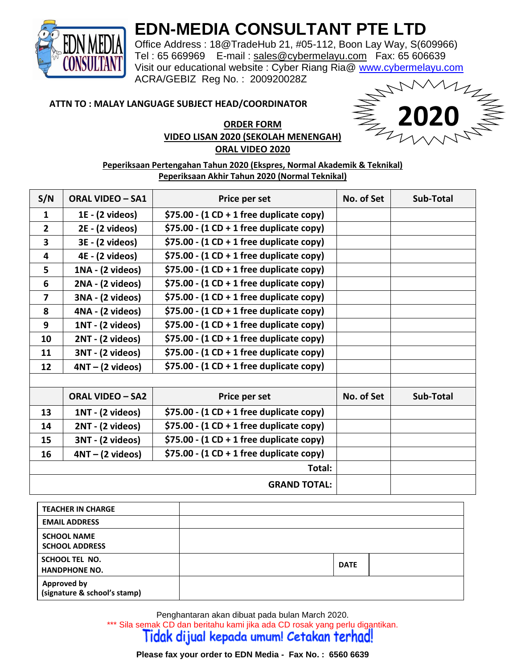

### **EDN-MEDIA CONSULTANT PTE LTD**

Office Address : 18@TradeHub 21, #05-112, Boon Lay Way, S(609966) Tel : 65 669969 E-mail : [sales@cybermelayu.com](mailto:sales@cybermelayu.com) Fax: 65 606639 Visit our educational website : Cyber Riang Ria@ [www.cybermelayu.com](http://www.cybermelayu.com/) ACRA/GEBIZ Reg No. : 200920028Z

#### **ATTN TO : MALAY LANGUAGE SUBJECT HEAD/COORDINATOR**

#### **ORDER FORM VIDEO LISAN 2020 (SEKOLAH MENENGAH) ORAL VIDEO 2020**



**Peperiksaan Pertengahan Tahun 2020 (Ekspres, Normal Akademik & Teknikal) Peperiksaan Akhir Tahun 2020 (Normal Teknikal)**

| S/N                     | <b>ORAL VIDEO - SA1</b>   | Price per set                              | No. of Set | Sub-Total        |
|-------------------------|---------------------------|--------------------------------------------|------------|------------------|
| $\mathbf{1}$            | $1E - (2 \text{ videos})$ | $$75.00 - (1 CD + 1 free duplicate copy)$  |            |                  |
| $\overline{2}$          | 2E - (2 videos)           | \$75.00 - $(1 CD + 1 free duplicate copy)$ |            |                  |
| $\overline{\mathbf{3}}$ | 3E - (2 videos)           | \$75.00 - $(1 CD + 1 free duplicate copy)$ |            |                  |
| 4                       | 4E - (2 videos)           | $$75.00 - (1 CD + 1 free duplicate copy)$  |            |                  |
| 5                       | 1NA - (2 videos)          | $$75.00 - (1 CD + 1 free duplicate copy)$  |            |                  |
| 6                       | 2NA - (2 videos)          | $$75.00 - (1 CD + 1 free duplicate copy)$  |            |                  |
| $\overline{\mathbf{z}}$ | 3NA - (2 videos)          | $$75.00 - (1 CD + 1 free duplicate copy)$  |            |                  |
| 8                       | 4NA - (2 videos)          | $$75.00 - (1 CD + 1 free duplicate copy)$  |            |                  |
| 9                       | 1NT - (2 videos)          | $$75.00 - (1 CD + 1 free duplicate copy)$  |            |                  |
| 10                      | 2NT - (2 videos)          | $$75.00 - (1 CD + 1 free duplicate copy)$  |            |                  |
| 11                      | 3NT - (2 videos)          | $$75.00 - (1 CD + 1 free duplicate copy)$  |            |                  |
| 12                      | $4NT - (2 videos)$        | $$75.00 - (1 CD + 1 free duplicate copy)$  |            |                  |
|                         |                           |                                            |            |                  |
|                         | <b>ORAL VIDEO - SA2</b>   | Price per set                              | No. of Set | <b>Sub-Total</b> |
| 13                      | 1NT - (2 videos)          | $$75.00 - (1 CD + 1 free duplicate copy)$  |            |                  |
| 14                      | 2NT - (2 videos)          | $$75.00 - (1 CD + 1 free duplicate copy)$  |            |                  |
| 15                      | 3NT - (2 videos)          | $$75.00 - (1 CD + 1 free duplicate copy)$  |            |                  |
| 16                      | $4NT - (2 videos)$        | $$75.00 - (1 CD + 1 free duplicate copy)$  |            |                  |
|                         |                           | Total:                                     |            |                  |
|                         | <b>GRAND TOTAL:</b>       |                                            |            |                  |

| <b>TEACHER IN CHARGE</b>                           |             |
|----------------------------------------------------|-------------|
| <b>EMAIL ADDRESS</b>                               |             |
| <b>SCHOOL NAME</b><br><b>SCHOOL ADDRESS</b>        |             |
| <b>SCHOOL TEL NO.</b><br><b>HANDPHONE NO.</b>      | <b>DATE</b> |
| <b>Approved by</b><br>(signature & school's stamp) |             |

Penghantaran akan dibuat pada bulan March 2020. \*\*\* Sila semak CD dan beritahu kami jika ada CD rosak yang perlu digantikan.

Tidak dijual kepada umum! Cetakan terhad!

**Please fax your order to EDN Media - Fax No. : 6560 6639**